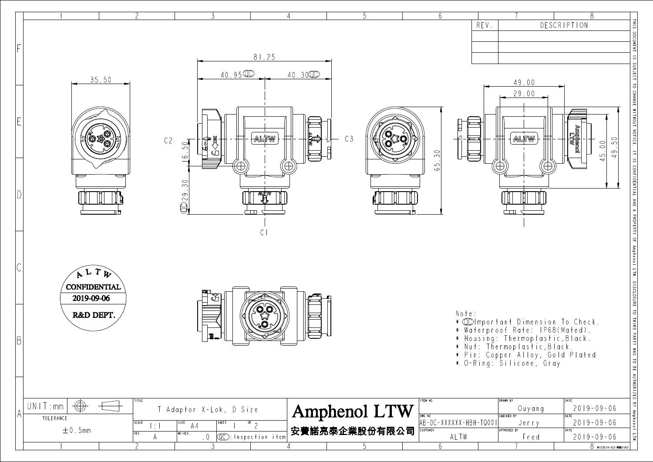